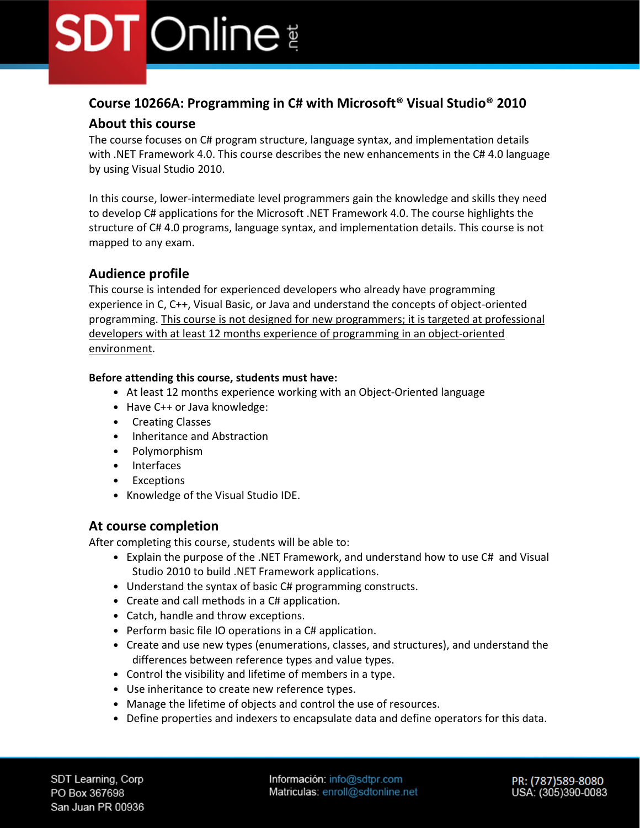# **Course 10266A: Programming in C# with Microsoft® Visual Studio® 2010**

# **About this course**

The course focuses on C# program structure, language syntax, and implementation details with .NET Framework 4.0. This course describes the new enhancements in the C# 4.0 language by using Visual Studio 2010.

In this course, lower-intermediate level programmers gain the knowledge and skills they need to develop C# applications for the Microsoft .NET Framework 4.0. The course highlights the structure of C# 4.0 programs, language syntax, and implementation details. This course is not mapped to any exam.

# **Audience profile**

This course is intended for experienced developers who already have programming experience in C, C++, Visual Basic, or Java and understand the concepts of object-oriented programming. This course is not designed for new programmers; it is targeted at professional developers with at least 12 months experience of programming in an object-oriented environment.

## **Before attending this course, students must have:**

- At least 12 months experience working with an Object-Oriented language
- Have C++ or Java knowledge:
- Creating Classes
- Inheritance and Abstraction
- Polymorphism
- Interfaces
- Exceptions
- Knowledge of the Visual Studio IDE.

# **At course completion**

After completing this course, students will be able to:

- Explain the purpose of the .NET Framework, and understand how to use C# and Visual Studio 2010 to build .NET Framework applications.
- Understand the syntax of basic C# programming constructs.
- Create and call methods in a C# application.
- Catch, handle and throw exceptions.
- Perform basic file IO operations in a C# application.
- Create and use new types (enumerations, classes, and structures), and understand the differences between reference types and value types.
- Control the visibility and lifetime of members in a type.
- Use inheritance to create new reference types.
- Manage the lifetime of objects and control the use of resources.
- Define properties and indexers to encapsulate data and define operators for this data.

Información: info@sdtpr.com Matriculas: enroll@sdtonline.net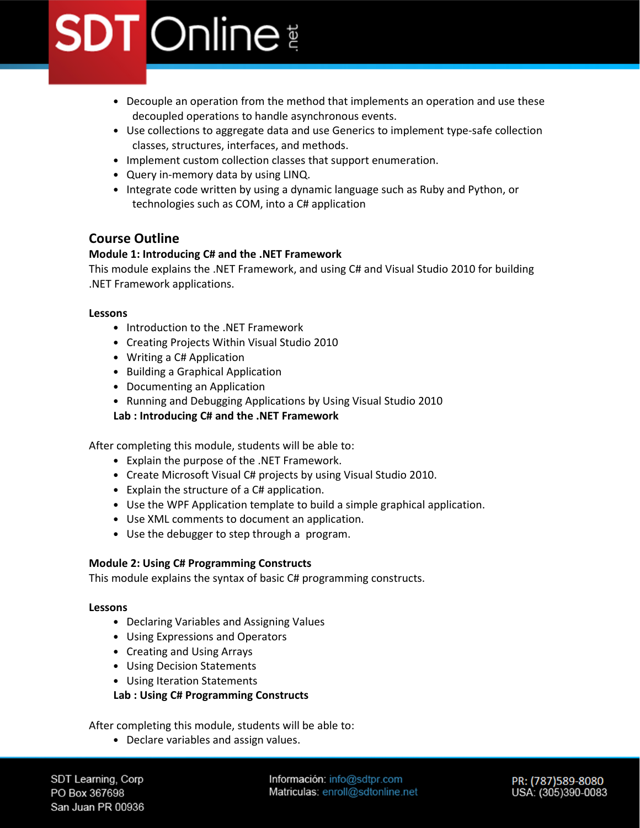- Decouple an operation from the method that implements an operation and use these decoupled operations to handle asynchronous events.
- Use collections to aggregate data and use Generics to implement type-safe collection classes, structures, interfaces, and methods.
- Implement custom collection classes that support enumeration.
- Query in-memory data by using LINQ.
- Integrate code written by using a dynamic language such as Ruby and Python, or technologies such as COM, into a C# application

# **Course Outline**

## **Module 1: Introducing C# and the .NET Framework**

This module explains the .NET Framework, and using C# and Visual Studio 2010 for building .NET Framework applications.

#### **Lessons**

- Introduction to the .NET Framework
- Creating Projects Within Visual Studio 2010
- Writing a C# Application
- Building a Graphical Application
- Documenting an Application
- Running and Debugging Applications by Using Visual Studio 2010
- **Lab : Introducing C# and the .NET Framework**

After completing this module, students will be able to:

- Explain the purpose of the .NET Framework.
- Create Microsoft Visual C# projects by using Visual Studio 2010.
- Explain the structure of a C# application.
- Use the WPF Application template to build a simple graphical application.
- Use XML comments to document an application.
- Use the debugger to step through a program.

### **Module 2: Using C# Programming Constructs**

This module explains the syntax of basic C# programming constructs.

### **Lessons**

- Declaring Variables and Assigning Values
- Using Expressions and Operators
- Creating and Using Arrays
- Using Decision Statements
- Using Iteration Statements

## **Lab : Using C# Programming Constructs**

After completing this module, students will be able to:

• Declare variables and assign values.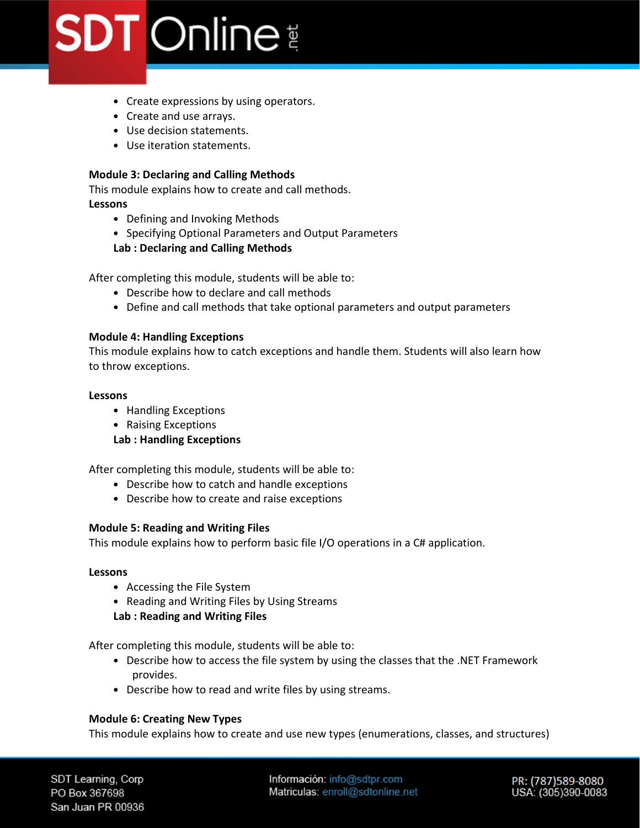- Create expressions by using operators.
- Create and use arrays.
- Use decision statements.
- Use iteration statements.

#### **Module 3: Declaring and Calling Methods**

This module explains how to create and call methods.

**Lessons**

- Defining and Invoking Methods
- Specifying Optional Parameters and Output Parameters

#### **Lab : Declaring and Calling Methods**

After completing this module, students will be able to:

- Describe how to declare and call methods
- Define and call methods that take optional parameters and output parameters

#### **Module 4: Handling Exceptions**

This module explains how to catch exceptions and handle them. Students will also learn how to throw exceptions.

#### **Lessons**

- Handling Exceptions
- Raising Exceptions

### **Lab : Handling Exceptions**

After completing this module, students will be able to:

- Describe how to catch and handle exceptions
- Describe how to create and raise exceptions

#### **Module 5: Reading and Writing Files**

This module explains how to perform basic file I/O operations in a C# application.

#### **Lessons**

- Accessing the File System
- Reading and Writing Files by Using Streams

#### **Lab : Reading and Writing Files**

After completing this module, students will be able to:

- Describe how to access the file system by using the classes that the .NET Framework provides.
- Describe how to read and write files by using streams.

### **Module 6: Creating New Types**

This module explains how to create and use new types (enumerations, classes, and structures)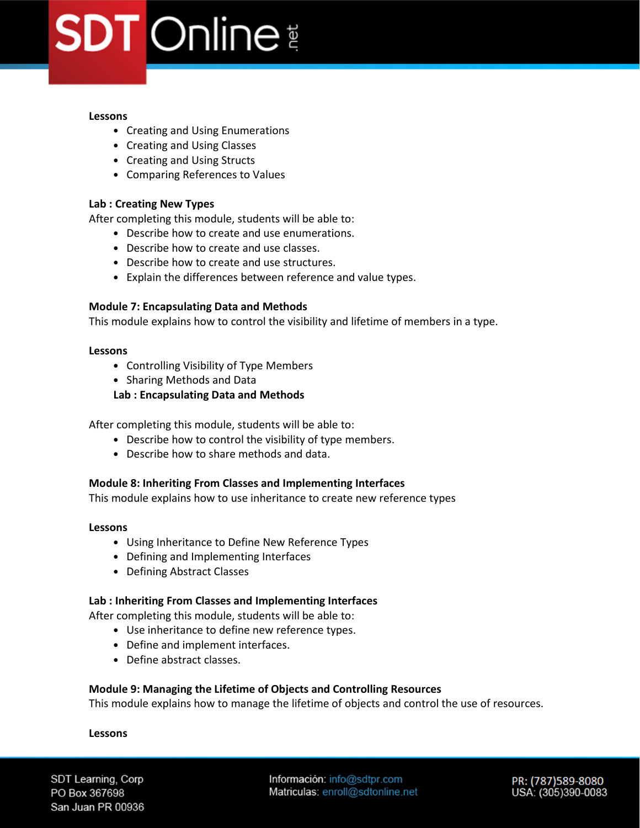#### **Lessons**

- Creating and Using Enumerations
- Creating and Using Classes
- Creating and Using Structs
- Comparing References to Values

### **Lab : Creating New Types**

After completing this module, students will be able to:

- Describe how to create and use enumerations.
- Describe how to create and use classes.
- Describe how to create and use structures.
- Explain the differences between reference and value types.

#### **Module 7: Encapsulating Data and Methods**

This module explains how to control the visibility and lifetime of members in a type.

#### **Lessons**

- Controlling Visibility of Type Members
- Sharing Methods and Data
- **Lab : Encapsulating Data and Methods**

After completing this module, students will be able to:

- Describe how to control the visibility of type members.
- Describe how to share methods and data.

#### **Module 8: Inheriting From Classes and Implementing Interfaces**

This module explains how to use inheritance to create new reference types

#### **Lessons**

- Using Inheritance to Define New Reference Types
- Defining and Implementing Interfaces
- Defining Abstract Classes

#### **Lab : Inheriting From Classes and Implementing Interfaces**

After completing this module, students will be able to:

- Use inheritance to define new reference types.
- Define and implement interfaces.
- Define abstract classes.

#### **Module 9: Managing the Lifetime of Objects and Controlling Resources**

This module explains how to manage the lifetime of objects and control the use of resources.

#### **Lessons**

SDT Learning, Corp PO Box 367698 San Juan PR 00936 Información: info@sdtpr.com Matriculas: enroll@sdtonline.net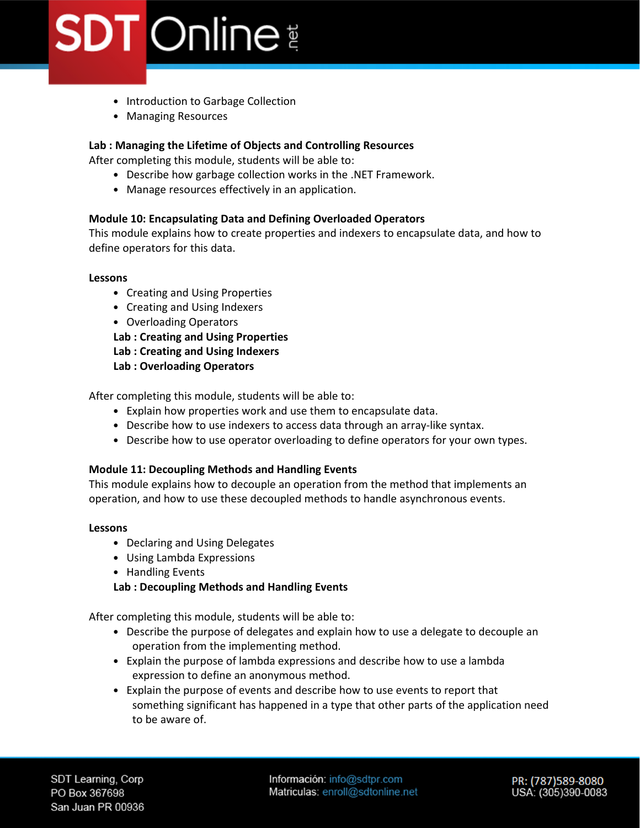- Introduction to Garbage Collection
- Managing Resources

## **Lab : Managing the Lifetime of Objects and Controlling Resources**

After completing this module, students will be able to:

- Describe how garbage collection works in the .NET Framework.
- Manage resources effectively in an application.

### **Module 10: Encapsulating Data and Defining Overloaded Operators**

This module explains how to create properties and indexers to encapsulate data, and how to define operators for this data.

#### **Lessons**

- Creating and Using Properties
- Creating and Using Indexers
- Overloading Operators

**Lab : Creating and Using Properties** 

**Lab : Creating and Using Indexers** 

**Lab : Overloading Operators** 

After completing this module, students will be able to:

- Explain how properties work and use them to encapsulate data.
- Describe how to use indexers to access data through an array-like syntax.
- Describe how to use operator overloading to define operators for your own types.

#### **Module 11: Decoupling Methods and Handling Events**

This module explains how to decouple an operation from the method that implements an operation, and how to use these decoupled methods to handle asynchronous events.

#### **Lessons**

- Declaring and Using Delegates
- Using Lambda Expressions
- Handling Events

### **Lab : Decoupling Methods and Handling Events**

After completing this module, students will be able to:

- Describe the purpose of delegates and explain how to use a delegate to decouple an operation from the implementing method.
- Explain the purpose of lambda expressions and describe how to use a lambda expression to define an anonymous method.
- Explain the purpose of events and describe how to use events to report that something significant has happened in a type that other parts of the application need to be aware of.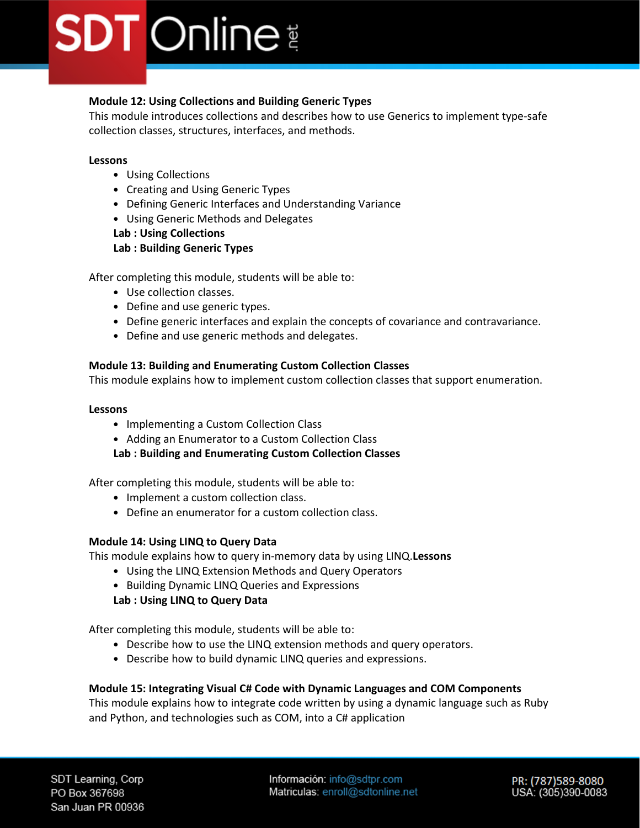## **Module 12: Using Collections and Building Generic Types**

This module introduces collections and describes how to use Generics to implement type-safe collection classes, structures, interfaces, and methods.

## **Lessons**

- Using Collections
- Creating and Using Generic Types
- Defining Generic Interfaces and Understanding Variance
- Using Generic Methods and Delegates

#### **Lab : Using Collections Lab : Building Generic Types**

After completing this module, students will be able to:

- Use collection classes.
- Define and use generic types.
- Define generic interfaces and explain the concepts of covariance and contravariance.
- Define and use generic methods and delegates.

## **Module 13: Building and Enumerating Custom Collection Classes**

This module explains how to implement custom collection classes that support enumeration.

## **Lessons**

- Implementing a Custom Collection Class
- Adding an Enumerator to a Custom Collection Class

**Lab : Building and Enumerating Custom Collection Classes**

After completing this module, students will be able to:

- Implement a custom collection class.
- Define an enumerator for a custom collection class.

## **Module 14: Using LINQ to Query Data**

This module explains how to query in-memory data by using LINQ.**Lessons**

- Using the LINQ Extension Methods and Query Operators
- Building Dynamic LINQ Queries and Expressions

**Lab : Using LINQ to Query Data**

After completing this module, students will be able to:

- Describe how to use the LINQ extension methods and query operators.
- Describe how to build dynamic LINQ queries and expressions.

## **Module 15: Integrating Visual C# Code with Dynamic Languages and COM Components**

This module explains how to integrate code written by using a dynamic language such as Ruby and Python, and technologies such as COM, into a C# application